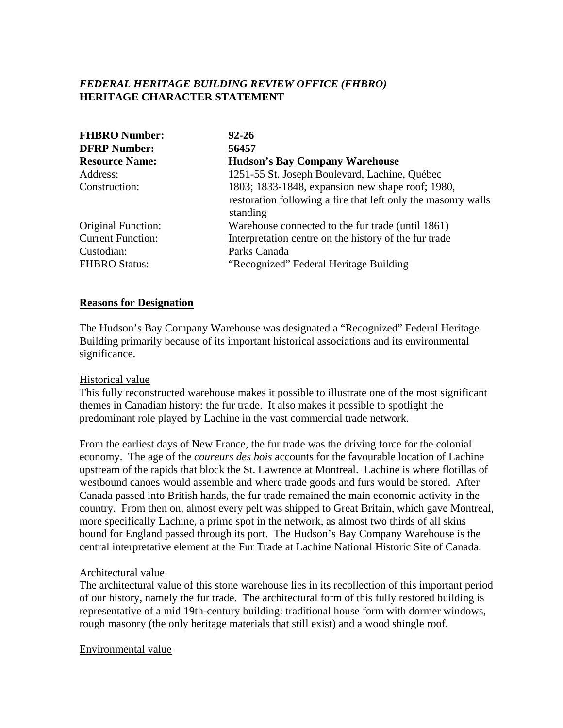# *FEDERAL HERITAGE BUILDING REVIEW OFFICE (FHBRO)* **HERITAGE CHARACTER STATEMENT**

| <b>FHBRO Number:</b>      | $92 - 26$                                                                 |
|---------------------------|---------------------------------------------------------------------------|
| <b>DFRP Number:</b>       | 56457                                                                     |
| <b>Resource Name:</b>     | <b>Hudson's Bay Company Warehouse</b>                                     |
| Address:                  | 1251-55 St. Joseph Boulevard, Lachine, Québec                             |
| Construction:             | 1803; 1833-1848, expansion new shape roof; 1980,                          |
|                           | restoration following a fire that left only the masonry walls<br>standing |
| <b>Original Function:</b> | Warehouse connected to the fur trade (until 1861)                         |
| <b>Current Function:</b>  | Interpretation centre on the history of the fur trade                     |
| Custodian:                | Parks Canada                                                              |
| <b>FHBRO Status:</b>      | "Recognized" Federal Heritage Building                                    |

## **Reasons for Designation**

The Hudson's Bay Company Warehouse was designated a "Recognized" Federal Heritage Building primarily because of its important historical associations and its environmental significance.

### Historical value

This fully reconstructed warehouse makes it possible to illustrate one of the most significant themes in Canadian history: the fur trade. It also makes it possible to spotlight the predominant role played by Lachine in the vast commercial trade network.

From the earliest days of New France, the fur trade was the driving force for the colonial economy. The age of the *coureurs des bois* accounts for the favourable location of Lachine upstream of the rapids that block the St. Lawrence at Montreal. Lachine is where flotillas of westbound canoes would assemble and where trade goods and furs would be stored. After Canada passed into British hands, the fur trade remained the main economic activity in the country. From then on, almost every pelt was shipped to Great Britain, which gave Montreal, more specifically Lachine, a prime spot in the network, as almost two thirds of all skins bound for England passed through its port. The Hudson's Bay Company Warehouse is the central interpretative element at the Fur Trade at Lachine National Historic Site of Canada.

### Architectural value

The architectural value of this stone warehouse lies in its recollection of this important period of our history, namely the fur trade. The architectural form of this fully restored building is representative of a mid 19th-century building: traditional house form with dormer windows, rough masonry (the only heritage materials that still exist) and a wood shingle roof.

### Environmental value